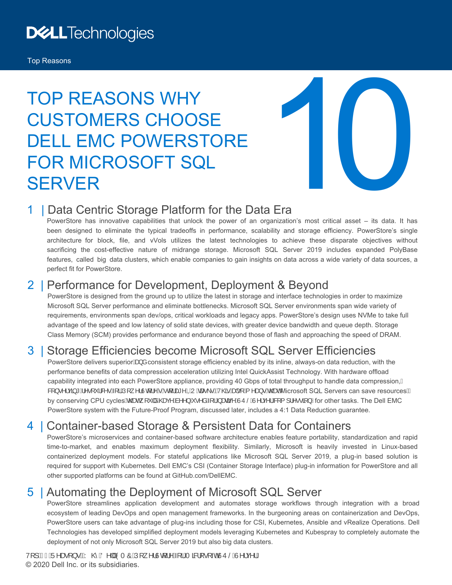## **DELLTechnologies**

#### Top Reasons

# TOP REASONS WHY CUSTOMERS CHOOSE DELL EMC POWERSTORE FOR MICROSOFT SQL **SERVER**



#### 1 | Data Centric Storage Platform for the Data Era

PowerStore has innovative capabilities that unlock the power of an organization's most critical asset – its data. It has been designed to eliminate the typical tradeoffs in performance, scalability and storage efficiency. PowerStore's single architecture for block, file, and vVols utilizes the latest technologies to achieve these disparate objectives without sacrificing the cost-effective nature of midrange storage. Microsoft SQL Server 2019 includes expanded PolyBase features, called big data clusters, which enable companies to gain insights on data across a wide variety of data sources, a perfect fit for PowerStore.

#### 2 | Performance for Development, Deployment & Beyond

PowerStore is designed from the ground up to utilize the latest in storage and interface technologies in order to maximize Microsoft SQL Server performance and eliminate bottlenecks. Microsoft SQL Server environments span wide variety of requirements, environments span dev/ops, critical workloads and legacy apps. PowerStore's design uses NVMe to take full advantage of the speed and low latency of solid state devices, with greater device bandwidth and queue depth. Storage Class Memory (SCM) provides performance and endurance beyond those of flash and approaching the speed of DRAM.

#### 3 | Storage Efficiencies become Microsoft SQL Server Efficiencies

PowerStore delivers superior& a consistent storage efficiency enabled by its inline, always-on data reduction, with the performance benefits of data compression acceleration utilizing Intel QuickAssist Technology. With hardware offload capability integrated into each PowerStore appliance, providing 40 Gbps of total throughput to handle data compression, Á &[ } ●^¦çã \* A^●[ ˇ ¦&^●A[ ¦AJ[ ¸ ^¦Uɗ ¦^©A ɗ ¦æ\* ^ÆDUAæe\ ● EV@vAne[ A ^æ} ● A@æAMicrosoft SQL Servers can save resourcesE by conserving CPU cycles Kozen [ [ b] a Azex AA^^} A • ^ a A { l a aza ^ A J U SA I^ | c^ | As { | | | ^ • • 4 } Efor other tasks. The Dell EMC PowerStore system with the Future-Proof Program, discussed later, includes a 4:1 Data Reduction guarantee.

#### 4 | Container-based Storage & Persistent Data for Containers

PowerStore's microservices and container-based software architecture enables feature portability, standardization and rapid time-to-market, and enables maximum deployment flexibility. Similarly, Microsoft is heavily invested in Linux-based containerized deployment models. For stateful applications like Microsoft SQL Server 2019, a plug-in based solution is required for support with Kubernetes. Dell EMC's CSI (Container Storage Interface) plug-in information for PowerStore and all other supported platforms can be found at GitHub.com/DellEMC.

#### 5 | Automating the Deployment of Microsoft SQL Server

PowerStore streamlines application development and automates storage workflows through integration with a broad ecosystem of leading DevOps and open management frameworks. In the burgeoning areas on containerization and DevOps, PowerStore users can take advantage of plug-ins including those for CSI, Kubernetes, Ansible and vRealize Operations. Dell Technologies has developed simplified deployment models leveraging Kubernetes and Kubespray to completely automate the deployment of not only Microsoft SQL Server 2019 but also big data clusters.

V[]ÁF€ÁÜ^æ]}•KÁY@ÁÖ^||ÁÒTÔÁÚ[.^¦Ùq¦^Á{¦ÁT&%[•[~6ÛŮŠÁÙ^¦ç^¦Á © 2020 Dell Inc. or its subsidiaries.